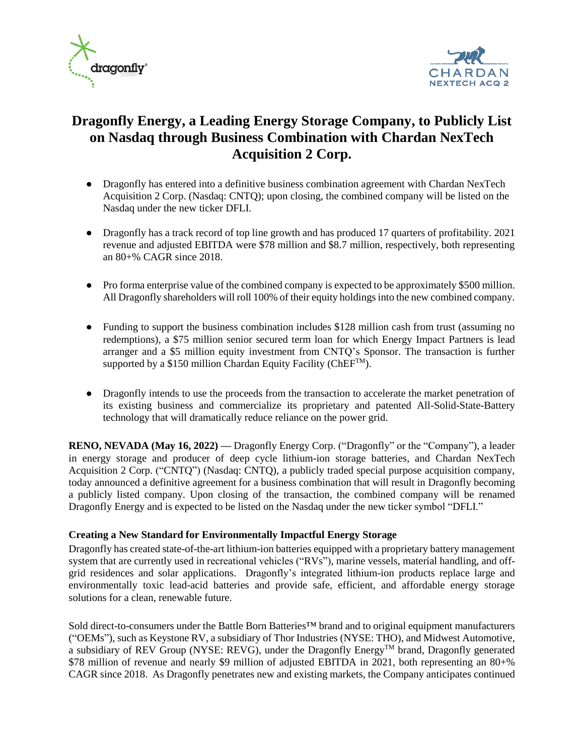



# **Dragonfly Energy, a Leading Energy Storage Company, to Publicly List on Nasdaq through Business Combination with Chardan NexTech Acquisition 2 Corp.**

- Dragonfly has entered into a definitive business combination agreement with Chardan NexTech Acquisition 2 Corp. (Nasdaq: CNTQ); upon closing, the combined company will be listed on the Nasdaq under the new ticker DFLI.
- Dragonfly has a track record of top line growth and has produced 17 quarters of profitability. 2021 revenue and adjusted EBITDA were \$78 million and \$8.7 million, respectively, both representing an 80+% CAGR since 2018.
- Pro forma enterprise value of the combined company is expected to be approximately \$500 million. All Dragonfly shareholders will roll 100% of their equity holdings into the new combined company.
- Funding to support the business combination includes \$128 million cash from trust (assuming no redemptions), a \$75 million senior secured term loan for which Energy Impact Partners is lead arranger and a \$5 million equity investment from CNTQ's Sponsor. The transaction is further supported by a \$150 million Chardan Equity Facility ( $ChEF^{TM}$ ).
- Dragonfly intends to use the proceeds from the transaction to accelerate the market penetration of its existing business and commercialize its proprietary and patented All-Solid-State-Battery technology that will dramatically reduce reliance on the power grid.

**RENO, NEVADA (May 16, 2022) —** Dragonfly Energy Corp. ("Dragonfly" or the "Company"), a leader in energy storage and producer of deep cycle lithium-ion storage batteries, and Chardan NexTech Acquisition 2 Corp. ("CNTQ") (Nasdaq: CNTQ), a publicly traded special purpose acquisition company, today announced a definitive agreement for a business combination that will result in Dragonfly becoming a publicly listed company. Upon closing of the transaction, the combined company will be renamed Dragonfly Energy and is expected to be listed on the Nasdaq under the new ticker symbol "DFLI."

## **Creating a New Standard for Environmentally Impactful Energy Storage**

Dragonfly has created state-of-the-art lithium-ion batteries equipped with a proprietary battery management system that are currently used in recreational vehicles ("RVs"), marine vessels, material handling, and offgrid residences and solar applications. Dragonfly's integrated lithium-ion products replace large and environmentally toxic lead-acid batteries and provide safe, efficient, and affordable energy storage solutions for a clean, renewable future.

Sold direct-to-consumers under the Battle Born Batteries™ brand and to original equipment manufacturers ("OEMs"), such as Keystone RV, a subsidiary of Thor Industries (NYSE: THO), and Midwest Automotive, a subsidiary of REV Group (NYSE: REVG), under the Dragonfly Energy™ brand, Dragonfly generated \$78 million of revenue and nearly \$9 million of adjusted EBITDA in 2021, both representing an 80+% CAGR since 2018. As Dragonfly penetrates new and existing markets, the Company anticipates continued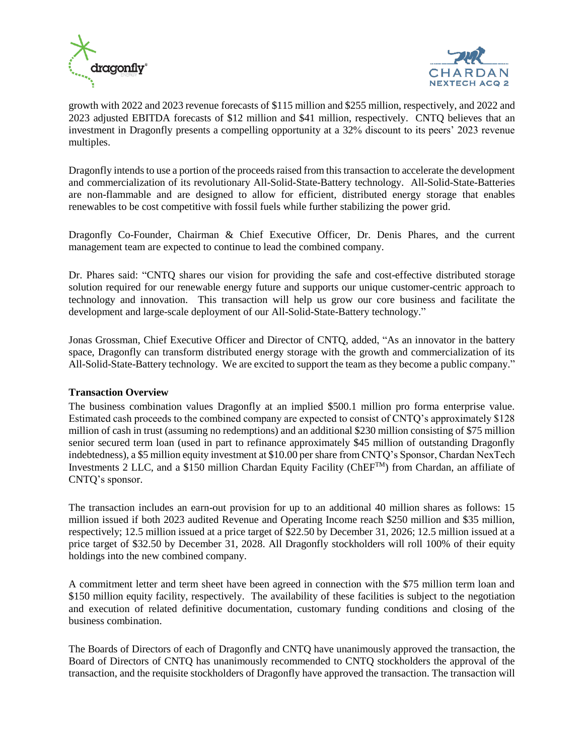



growth with 2022 and 2023 revenue forecasts of \$115 million and \$255 million, respectively, and 2022 and 2023 adjusted EBITDA forecasts of \$12 million and \$41 million, respectively. CNTQ believes that an investment in Dragonfly presents a compelling opportunity at a 32% discount to its peers' 2023 revenue multiples.

Dragonfly intends to use a portion of the proceeds raised from this transaction to accelerate the development and commercialization of its revolutionary All-Solid-State-Battery technology. All-Solid-State-Batteries are non-flammable and are designed to allow for efficient, distributed energy storage that enables renewables to be cost competitive with fossil fuels while further stabilizing the power grid.

Dragonfly Co-Founder, Chairman & Chief Executive Officer, Dr. Denis Phares, and the current management team are expected to continue to lead the combined company.

Dr. Phares said: "CNTQ shares our vision for providing the safe and cost-effective distributed storage solution required for our renewable energy future and supports our unique customer-centric approach to technology and innovation. This transaction will help us grow our core business and facilitate the development and large-scale deployment of our All-Solid-State-Battery technology."

Jonas Grossman, Chief Executive Officer and Director of CNTQ, added, "As an innovator in the battery space, Dragonfly can transform distributed energy storage with the growth and commercialization of its All-Solid-State-Battery technology. We are excited to support the team as they become a public company."

#### **Transaction Overview**

The business combination values Dragonfly at an implied \$500.1 million pro forma enterprise value. Estimated cash proceeds to the combined company are expected to consist of CNTQ's approximately \$128 million of cash in trust (assuming no redemptions) and an additional \$230 million consisting of \$75 million senior secured term loan (used in part to refinance approximately \$45 million of outstanding Dragonfly indebtedness), a \$5 million equity investment at \$10.00 per share from CNTQ's Sponsor, Chardan NexTech Investments 2 LLC, and a \$150 million Chardan Equity Facility (ChEFTM) from Chardan, an affiliate of CNTQ's sponsor.

The transaction includes an earn-out provision for up to an additional 40 million shares as follows: 15 million issued if both 2023 audited Revenue and Operating Income reach \$250 million and \$35 million, respectively; 12.5 million issued at a price target of \$22.50 by December 31, 2026; 12.5 million issued at a price target of \$32.50 by December 31, 2028. All Dragonfly stockholders will roll 100% of their equity holdings into the new combined company.

A commitment letter and term sheet have been agreed in connection with the \$75 million term loan and \$150 million equity facility, respectively. The availability of these facilities is subject to the negotiation and execution of related definitive documentation, customary funding conditions and closing of the business combination.

The Boards of Directors of each of Dragonfly and CNTQ have unanimously approved the transaction, the Board of Directors of CNTQ has unanimously recommended to CNTQ stockholders the approval of the transaction, and the requisite stockholders of Dragonfly have approved the transaction. The transaction will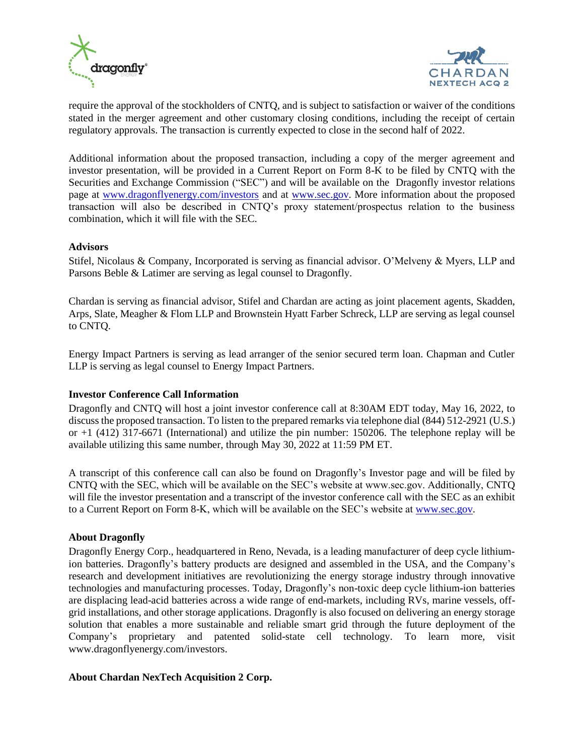



require the approval of the stockholders of CNTQ, and is subject to satisfaction or waiver of the conditions stated in the merger agreement and other customary closing conditions, including the receipt of certain regulatory approvals. The transaction is currently expected to close in the second half of 2022.

Additional information about the proposed transaction, including a copy of the merger agreement and investor presentation, will be provided in a Current Report on Form 8-K to be filed by CNTQ with the Securities and Exchange Commission ("SEC") and will be available on the Dragonfly investor relations page at [www.dragonflyenergy.com/investors](http://www.dragonflyenergy.com/investors) and at [www.sec.gov.](https://cts.businesswire.com/ct/CT?id=smartlink&url=http%3A%2F%2Fwww.sec.gov&esheet=52342813&newsitemid=20201204005244&lan=en-US&anchor=www.sec.gov&index=4&md5=6baa99d1ce3d7ba4756539bc0d7d72eb) More information about the proposed transaction will also be described in CNTQ's proxy statement/prospectus relation to the business combination, which it will file with the SEC.

#### **Advisors**

Stifel, Nicolaus & Company, Incorporated is serving as financial advisor. O'Melveny & Myers, LLP and Parsons Beble & Latimer are serving as legal counsel to Dragonfly.

Chardan is serving as financial advisor, Stifel and Chardan are acting as joint placement agents, Skadden, Arps, Slate, Meagher & Flom LLP and Brownstein Hyatt Farber Schreck, LLP are serving as legal counsel to CNTQ.

Energy Impact Partners is serving as lead arranger of the senior secured term loan. Chapman and Cutler LLP is serving as legal counsel to Energy Impact Partners.

#### **Investor Conference Call Information**

Dragonfly and CNTQ will host a joint investor conference call at 8:30AM EDT today, May 16, 2022, to discuss the proposed transaction. To listen to the prepared remarks via telephone dial (844) 512-2921 (U.S.) or +1 (412) 317-6671 (International) and utilize the pin number: 150206. The telephone replay will be available utilizing this same number, through May 30, 2022 at 11:59 PM ET.

A transcript of this conference call can also be found on Dragonfly's Investor page and will be filed by CNTQ with the SEC, which will be available on the SEC's website at www.sec.gov. Additionally, CNTQ will file the investor presentation and a transcript of the investor conference call with the SEC as an exhibit to a Current Report on Form 8-K, which will be available on the SEC's website at [www.sec.gov.](http://www.sec.gov/)

#### **About Dragonfly**

Dragonfly Energy Corp., headquartered in Reno, Nevada, is a leading manufacturer of deep cycle lithiumion batteries. Dragonfly's battery products are designed and assembled in the USA, and the Company's research and development initiatives are revolutionizing the energy storage industry through innovative technologies and manufacturing processes. Today, Dragonfly's non-toxic deep cycle lithium-ion batteries are displacing lead-acid batteries across a wide range of end-markets, including RVs, marine vessels, offgrid installations, and other storage applications. Dragonfly is also focused on delivering an energy storage solution that enables a more sustainable and reliable smart grid through the future deployment of the Company's proprietary and patented solid-state cell technology. To learn more, visit www.dragonflyenergy.com/investors.

#### **About Chardan NexTech Acquisition 2 Corp.**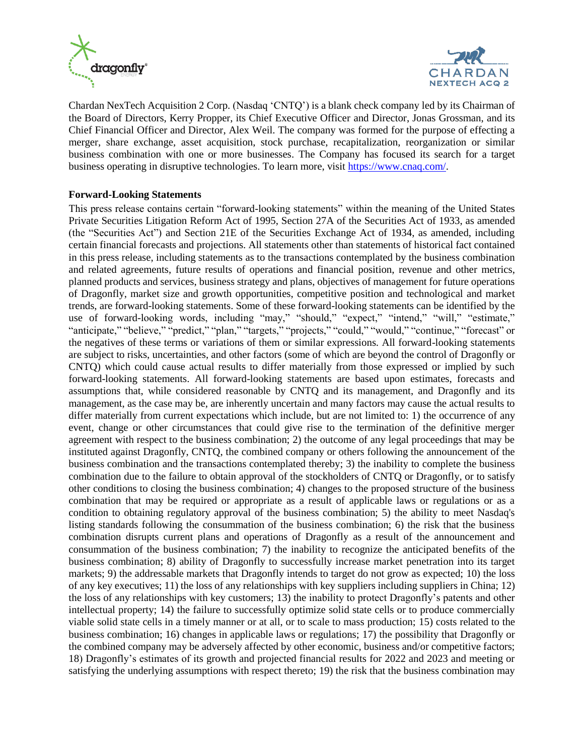



Chardan NexTech Acquisition 2 Corp. (Nasdaq 'CNTQ') is a blank check company led by its Chairman of the Board of Directors, Kerry Propper, its Chief Executive Officer and Director, Jonas Grossman, and its Chief Financial Officer and Director, Alex Weil. The company was formed for the purpose of effecting a merger, share exchange, asset acquisition, stock purchase, recapitalization, reorganization or similar business combination with one or more businesses. The Company has focused its search for a target business operating in disruptive technologies. To learn more, visit [https://www.cnaq.com/.](https://www.cnaq.com/)

#### **Forward-Looking Statements**

This press release contains certain "forward-looking statements" within the meaning of the United States Private Securities Litigation Reform Act of 1995, Section 27A of the Securities Act of 1933, as amended (the "Securities Act") and Section 21E of the Securities Exchange Act of 1934, as amended, including certain financial forecasts and projections. All statements other than statements of historical fact contained in this press release, including statements as to the transactions contemplated by the business combination and related agreements, future results of operations and financial position, revenue and other metrics, planned products and services, business strategy and plans, objectives of management for future operations of Dragonfly, market size and growth opportunities, competitive position and technological and market trends, are forward-looking statements. Some of these forward-looking statements can be identified by the use of forward-looking words, including "may," "should," "expect," "intend," "will," "estimate," "anticipate," "believe," "predict," "plan," "targets," "projects," "could," "would," "continue," "forecast" or the negatives of these terms or variations of them or similar expressions. All forward-looking statements are subject to risks, uncertainties, and other factors (some of which are beyond the control of Dragonfly or CNTQ) which could cause actual results to differ materially from those expressed or implied by such forward-looking statements. All forward-looking statements are based upon estimates, forecasts and assumptions that, while considered reasonable by CNTQ and its management, and Dragonfly and its management, as the case may be, are inherently uncertain and many factors may cause the actual results to differ materially from current expectations which include, but are not limited to: 1) the occurrence of any event, change or other circumstances that could give rise to the termination of the definitive merger agreement with respect to the business combination; 2) the outcome of any legal proceedings that may be instituted against Dragonfly, CNTQ, the combined company or others following the announcement of the business combination and the transactions contemplated thereby; 3) the inability to complete the business combination due to the failure to obtain approval of the stockholders of CNTQ or Dragonfly, or to satisfy other conditions to closing the business combination; 4) changes to the proposed structure of the business combination that may be required or appropriate as a result of applicable laws or regulations or as a condition to obtaining regulatory approval of the business combination; 5) the ability to meet Nasdaq's listing standards following the consummation of the business combination; 6) the risk that the business combination disrupts current plans and operations of Dragonfly as a result of the announcement and consummation of the business combination; 7) the inability to recognize the anticipated benefits of the business combination; 8) ability of Dragonfly to successfully increase market penetration into its target markets; 9) the addressable markets that Dragonfly intends to target do not grow as expected; 10) the loss of any key executives; 11) the loss of any relationships with key suppliers including suppliers in China; 12) the loss of any relationships with key customers; 13) the inability to protect Dragonfly's patents and other intellectual property; 14) the failure to successfully optimize solid state cells or to produce commercially viable solid state cells in a timely manner or at all, or to scale to mass production; 15) costs related to the business combination; 16) changes in applicable laws or regulations; 17) the possibility that Dragonfly or the combined company may be adversely affected by other economic, business and/or competitive factors; 18) Dragonfly's estimates of its growth and projected financial results for 2022 and 2023 and meeting or satisfying the underlying assumptions with respect thereto; 19) the risk that the business combination may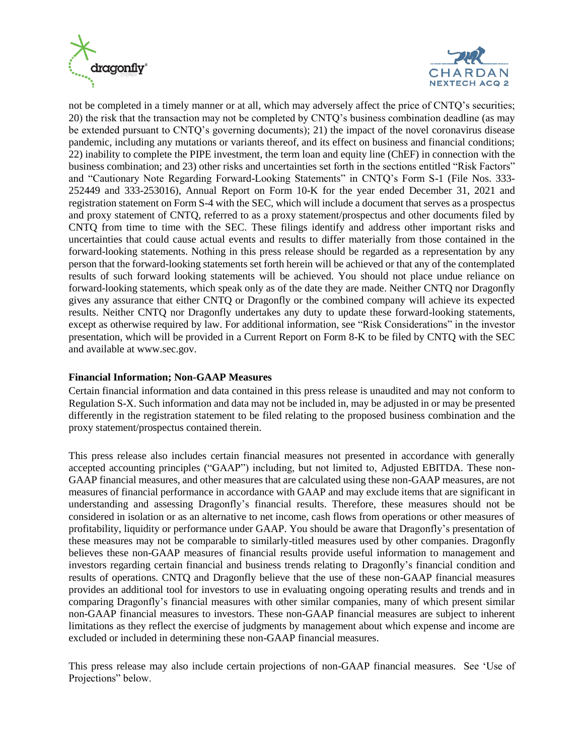



not be completed in a timely manner or at all, which may adversely affect the price of CNTQ's securities; 20) the risk that the transaction may not be completed by CNTQ's business combination deadline (as may be extended pursuant to CNTQ's governing documents); 21) the impact of the novel coronavirus disease pandemic, including any mutations or variants thereof, and its effect on business and financial conditions; 22) inability to complete the PIPE investment, the term loan and equity line (ChEF) in connection with the business combination; and 23) other risks and uncertainties set forth in the sections entitled "Risk Factors" and "Cautionary Note Regarding Forward-Looking Statements" in CNTQ's Form S-1 (File Nos. 333- 252449 and 333-253016), Annual Report on Form 10-K for the year ended December 31, 2021 and registration statement on Form S-4 with the SEC, which will include a document that serves as a prospectus and proxy statement of CNTQ, referred to as a proxy statement/prospectus and other documents filed by CNTQ from time to time with the SEC. These filings identify and address other important risks and uncertainties that could cause actual events and results to differ materially from those contained in the forward-looking statements. Nothing in this press release should be regarded as a representation by any person that the forward-looking statements set forth herein will be achieved or that any of the contemplated results of such forward looking statements will be achieved. You should not place undue reliance on forward-looking statements, which speak only as of the date they are made. Neither CNTQ nor Dragonfly gives any assurance that either CNTQ or Dragonfly or the combined company will achieve its expected results. Neither CNTQ nor Dragonfly undertakes any duty to update these forward-looking statements, except as otherwise required by law. For additional information, see "Risk Considerations" in the investor presentation, which will be provided in a Current Report on Form 8-K to be filed by CNTQ with the SEC and available at www.sec.gov.

#### **Financial Information; Non-GAAP Measures**

Certain financial information and data contained in this press release is unaudited and may not conform to Regulation S-X. Such information and data may not be included in, may be adjusted in or may be presented differently in the registration statement to be filed relating to the proposed business combination and the proxy statement/prospectus contained therein.

This press release also includes certain financial measures not presented in accordance with generally accepted accounting principles ("GAAP") including, but not limited to, Adjusted EBITDA. These non-GAAP financial measures, and other measures that are calculated using these non-GAAP measures, are not measures of financial performance in accordance with GAAP and may exclude items that are significant in understanding and assessing Dragonfly's financial results. Therefore, these measures should not be considered in isolation or as an alternative to net income, cash flows from operations or other measures of profitability, liquidity or performance under GAAP. You should be aware that Dragonfly's presentation of these measures may not be comparable to similarly-titled measures used by other companies. Dragonfly believes these non-GAAP measures of financial results provide useful information to management and investors regarding certain financial and business trends relating to Dragonfly's financial condition and results of operations. CNTQ and Dragonfly believe that the use of these non-GAAP financial measures provides an additional tool for investors to use in evaluating ongoing operating results and trends and in comparing Dragonfly's financial measures with other similar companies, many of which present similar non-GAAP financial measures to investors. These non-GAAP financial measures are subject to inherent limitations as they reflect the exercise of judgments by management about which expense and income are excluded or included in determining these non-GAAP financial measures.

This press release may also include certain projections of non-GAAP financial measures. See 'Use of Projections" below.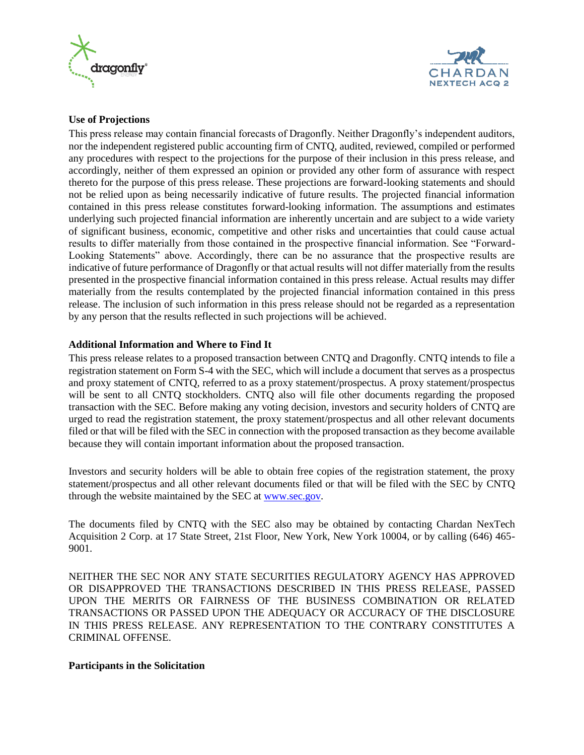



#### **Use of Projections**

This press release may contain financial forecasts of Dragonfly. Neither Dragonfly's independent auditors, nor the independent registered public accounting firm of CNTQ, audited, reviewed, compiled or performed any procedures with respect to the projections for the purpose of their inclusion in this press release, and accordingly, neither of them expressed an opinion or provided any other form of assurance with respect thereto for the purpose of this press release. These projections are forward-looking statements and should not be relied upon as being necessarily indicative of future results. The projected financial information contained in this press release constitutes forward-looking information. The assumptions and estimates underlying such projected financial information are inherently uncertain and are subject to a wide variety of significant business, economic, competitive and other risks and uncertainties that could cause actual results to differ materially from those contained in the prospective financial information. See "Forward-Looking Statements" above. Accordingly, there can be no assurance that the prospective results are indicative of future performance of Dragonfly or that actual results will not differ materially from the results presented in the prospective financial information contained in this press release. Actual results may differ materially from the results contemplated by the projected financial information contained in this press release. The inclusion of such information in this press release should not be regarded as a representation by any person that the results reflected in such projections will be achieved.

#### **Additional Information and Where to Find It**

This press release relates to a proposed transaction between CNTQ and Dragonfly. CNTQ intends to file a registration statement on Form S-4 with the SEC, which will include a document that serves as a prospectus and proxy statement of CNTQ, referred to as a proxy statement/prospectus. A proxy statement/prospectus will be sent to all CNTQ stockholders. CNTQ also will file other documents regarding the proposed transaction with the SEC. Before making any voting decision, investors and security holders of CNTQ are urged to read the registration statement, the proxy statement/prospectus and all other relevant documents filed or that will be filed with the SEC in connection with the proposed transaction as they become available because they will contain important information about the proposed transaction.

Investors and security holders will be able to obtain free copies of the registration statement, the proxy statement/prospectus and all other relevant documents filed or that will be filed with the SEC by CNTQ through the website maintained by the SEC a[t www.sec.gov.](http://www.sec.gov/)

The documents filed by CNTQ with the SEC also may be obtained by contacting Chardan NexTech Acquisition 2 Corp. at 17 State Street, 21st Floor, New York, New York 10004, or by calling (646) 465- 9001.

NEITHER THE SEC NOR ANY STATE SECURITIES REGULATORY AGENCY HAS APPROVED OR DISAPPROVED THE TRANSACTIONS DESCRIBED IN THIS PRESS RELEASE, PASSED UPON THE MERITS OR FAIRNESS OF THE BUSINESS COMBINATION OR RELATED TRANSACTIONS OR PASSED UPON THE ADEQUACY OR ACCURACY OF THE DISCLOSURE IN THIS PRESS RELEASE. ANY REPRESENTATION TO THE CONTRARY CONSTITUTES A CRIMINAL OFFENSE.

#### **Participants in the Solicitation**